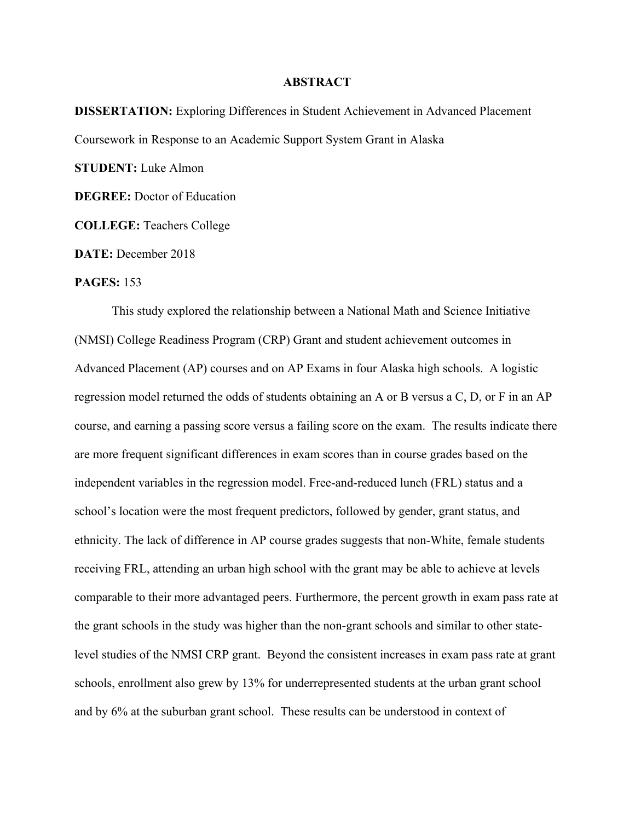## **ABSTRACT**

**DISSERTATION:** Exploring Differences in Student Achievement in Advanced Placement Coursework in Response to an Academic Support System Grant in Alaska

**STUDENT:** Luke Almon

**DEGREE:** Doctor of Education

**COLLEGE:** Teachers College

**DATE:** December 2018

## **PAGES:** 153

This study explored the relationship between a National Math and Science Initiative (NMSI) College Readiness Program (CRP) Grant and student achievement outcomes in Advanced Placement (AP) courses and on AP Exams in four Alaska high schools. A logistic regression model returned the odds of students obtaining an A or B versus a C, D, or F in an AP course, and earning a passing score versus a failing score on the exam. The results indicate there are more frequent significant differences in exam scores than in course grades based on the independent variables in the regression model. Free-and-reduced lunch (FRL) status and a school's location were the most frequent predictors, followed by gender, grant status, and ethnicity. The lack of difference in AP course grades suggests that non-White, female students receiving FRL, attending an urban high school with the grant may be able to achieve at levels comparable to their more advantaged peers. Furthermore, the percent growth in exam pass rate at the grant schools in the study was higher than the non-grant schools and similar to other statelevel studies of the NMSI CRP grant. Beyond the consistent increases in exam pass rate at grant schools, enrollment also grew by 13% for underrepresented students at the urban grant school and by 6% at the suburban grant school. These results can be understood in context of